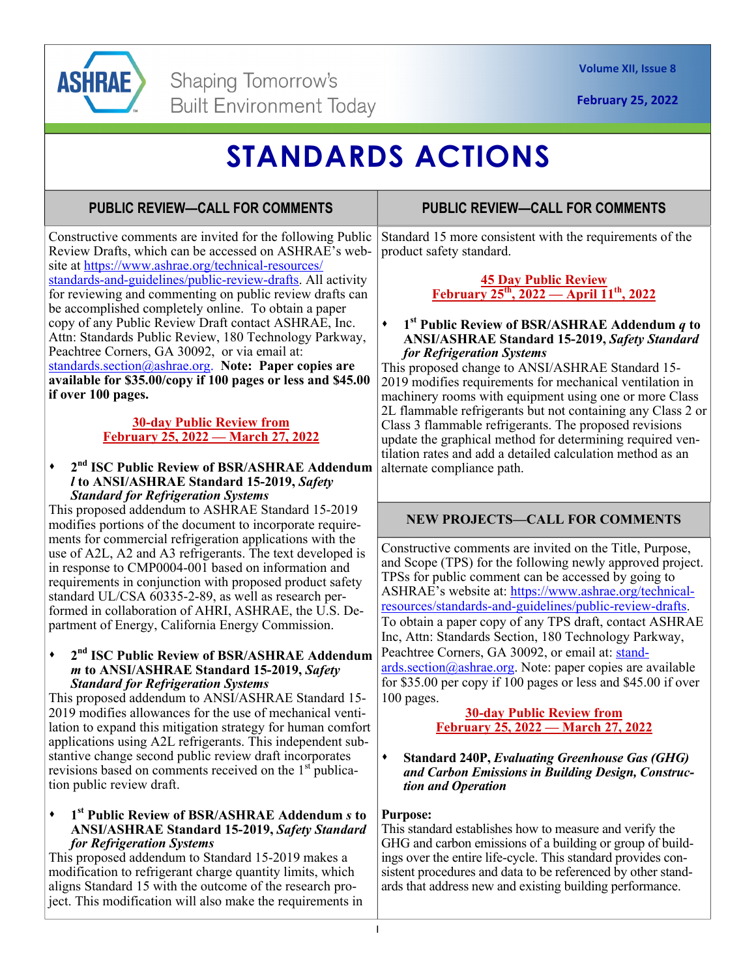

# **STANDARDS ACTIONS**

# **PUBLIC REVIEW—CALL FOR COMMENTS**

Constructive comments are invited for the following Public Review Drafts, which can be accessed on ASHRAE's website at https://www.ashrae.org/technical-resources/ standards-and-guidelines/public-review-drafts. All activity for reviewing and commenting on public review drafts can be accomplished completely online. To obtain a paper copy of any Public Review Draft contact ASHRAE, Inc. Attn: Standards Public Review, 180 Technology Parkway, Peachtree Corners, GA 30092, or via email at: standards.section@ashrae.org. **Note: Paper copies are available for \$35.00/copy if 100 pages or less and \$45.00 if over 100 pages.** 

### **30-day Public Review from February 25, 2022 — March 27, 2022**

#### **2nd ISC Public Review of BSR/ASHRAE Addendum**  *l* **to ANSI/ASHRAE Standard 15-2019,** *Safety Standard for Refrigeration Systems*

This proposed addendum to ASHRAE Standard 15-2019 modifies portions of the document to incorporate requirements for commercial refrigeration applications with the use of A2L, A2 and A3 refrigerants. The text developed is in response to CMP0004-001 based on information and requirements in conjunction with proposed product safety standard UL/CSA 60335-2-89, as well as research performed in collaboration of AHRI, ASHRAE, the U.S. Department of Energy, California Energy Commission.

#### **2nd ISC Public Review of BSR/ASHRAE Addendum**  *m* **to ANSI/ASHRAE Standard 15-2019,** *Safety Standard for Refrigeration Systems*

This proposed addendum to ANSI/ASHRAE Standard 15- 2019 modifies allowances for the use of mechanical ventilation to expand this mitigation strategy for human comfort applications using A2L refrigerants. This independent substantive change second public review draft incorporates revisions based on comments received on the  $1<sup>st</sup>$  publication public review draft.

#### **1st Public Review of BSR/ASHRAE Addendum** *s* **to ANSI/ASHRAE Standard 15-2019,** *Safety Standard for Refrigeration Systems*

This proposed addendum to Standard 15-2019 makes a modification to refrigerant charge quantity limits, which aligns Standard 15 with the outcome of the research project. This modification will also make the requirements in

# **PUBLIC REVIEW—CALL FOR COMMENTS**

Standard 15 more consistent with the requirements of the product safety standard.

### **45 Day Public Review February 25th, 2022 — April 11th, 2022**

#### **1st Public Review of BSR/ASHRAE Addendum** *q* **to ANSI/ASHRAE Standard 15-2019,** *Safety Standard for Refrigeration Systems*

This proposed change to ANSI/ASHRAE Standard 15- 2019 modifies requirements for mechanical ventilation in machinery rooms with equipment using one or more Class 2L flammable refrigerants but not containing any Class 2 or Class 3 flammable refrigerants. The proposed revisions update the graphical method for determining required ventilation rates and add a detailed calculation method as an alternate compliance path.

## **NEW PROJECTS—CALL FOR COMMENTS**

Constructive comments are invited on the Title, Purpose, and Scope (TPS) for the following newly approved project. TPSs for public comment can be accessed by going to ASHRAE's website at: https://www.ashrae.org/technicalresources/standards-and-guidelines/public-review-drafts. To obtain a paper copy of any TPS draft, contact ASHRAE Inc, Attn: Standards Section, 180 Technology Parkway, Peachtree Corners, GA 30092, or email at: stand $ards. section @a shrae.org. Note: paper copies are available$ for \$35.00 per copy if 100 pages or less and \$45.00 if over 100 pages.

#### **30-day Public Review from February 25, 2022 — March 27, 2022**

**Standard 240P,** *Evaluating Greenhouse Gas (GHG) and Carbon Emissions in Building Design, Construction and Operation* 

## **Purpose:**

This standard establishes how to measure and verify the GHG and carbon emissions of a building or group of buildings over the entire life-cycle. This standard provides consistent procedures and data to be referenced by other standards that address new and existing building performance.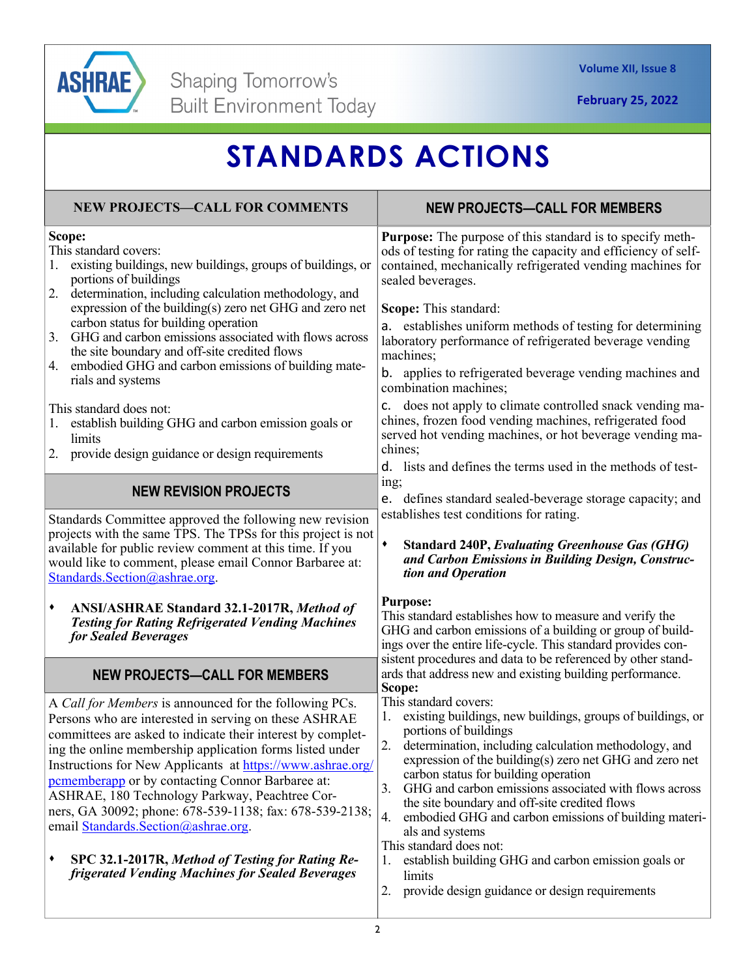

# **STANDARDS ACTIONS**

| <b>NEW PROJECTS-CALL FOR COMMENTS</b>                                                                                                                                                                                                                                                                                                                                                                                                                                                                                                                                                                                          | <b>NEW PROJECTS-CALL FOR MEMBERS</b>                                                                                                                                                                                                                                                                                                                                                                                                                                                                                                                                                                                                    |
|--------------------------------------------------------------------------------------------------------------------------------------------------------------------------------------------------------------------------------------------------------------------------------------------------------------------------------------------------------------------------------------------------------------------------------------------------------------------------------------------------------------------------------------------------------------------------------------------------------------------------------|-----------------------------------------------------------------------------------------------------------------------------------------------------------------------------------------------------------------------------------------------------------------------------------------------------------------------------------------------------------------------------------------------------------------------------------------------------------------------------------------------------------------------------------------------------------------------------------------------------------------------------------------|
| Scope:<br>This standard covers:<br>existing buildings, new buildings, groups of buildings, or<br>portions of buildings<br>2.<br>determination, including calculation methodology, and<br>expression of the building(s) zero net GHG and zero net<br>carbon status for building operation<br>GHG and carbon emissions associated with flows across<br>3.<br>the site boundary and off-site credited flows<br>embodied GHG and carbon emissions of building mate-<br>4.<br>rials and systems                                                                                                                                     | <b>Purpose:</b> The purpose of this standard is to specify meth-<br>ods of testing for rating the capacity and efficiency of self-<br>contained, mechanically refrigerated vending machines for<br>sealed beverages.<br>Scope: This standard:<br>a. establishes uniform methods of testing for determining<br>laboratory performance of refrigerated beverage vending<br>machines;<br>b. applies to refrigerated beverage vending machines and                                                                                                                                                                                          |
| This standard does not:<br>establish building GHG and carbon emission goals or<br>limits<br>2. provide design guidance or design requirements                                                                                                                                                                                                                                                                                                                                                                                                                                                                                  | combination machines;<br>does not apply to climate controlled snack vending ma-<br>c.<br>chines, frozen food vending machines, refrigerated food<br>served hot vending machines, or hot beverage vending ma-<br>chines;<br>d. lists and defines the terms used in the methods of test-                                                                                                                                                                                                                                                                                                                                                  |
| <b>NEW REVISION PROJECTS</b>                                                                                                                                                                                                                                                                                                                                                                                                                                                                                                                                                                                                   | ing;<br>e. defines standard sealed-beverage storage capacity; and<br>establishes test conditions for rating.                                                                                                                                                                                                                                                                                                                                                                                                                                                                                                                            |
| Standards Committee approved the following new revision<br>projects with the same TPS. The TPSs for this project is not<br>available for public review comment at this time. If you<br>would like to comment, please email Connor Barbaree at:<br>Standards.Section@ashrae.org.                                                                                                                                                                                                                                                                                                                                                | $\blacklozenge$<br><b>Standard 240P, Evaluating Greenhouse Gas (GHG)</b><br>and Carbon Emissions in Building Design, Construc-<br>tion and Operation                                                                                                                                                                                                                                                                                                                                                                                                                                                                                    |
| ANSI/ASHRAE Standard 32.1-2017R, Method of<br>٠<br><b>Testing for Rating Refrigerated Vending Machines</b><br>for Sealed Beverages                                                                                                                                                                                                                                                                                                                                                                                                                                                                                             | <b>Purpose:</b><br>This standard establishes how to measure and verify the<br>GHG and carbon emissions of a building or group of build-<br>ings over the entire life-cycle. This standard provides con-                                                                                                                                                                                                                                                                                                                                                                                                                                 |
| <b>NEW PROJECTS-CALL FOR MEMBERS</b>                                                                                                                                                                                                                                                                                                                                                                                                                                                                                                                                                                                           | sistent procedures and data to be referenced by other stand-<br>ards that address new and existing building performance.<br>Scope:                                                                                                                                                                                                                                                                                                                                                                                                                                                                                                      |
| A Call for Members is announced for the following PCs.<br>Persons who are interested in serving on these ASHRAE<br>committees are asked to indicate their interest by complet-<br>ing the online membership application forms listed under<br>Instructions for New Applicants at https://www.ashrae.org/<br>pememberapp or by contacting Connor Barbaree at:<br>ASHRAE, 180 Technology Parkway, Peachtree Cor-<br>ners, GA 30092; phone: 678-539-1138; fax: 678-539-2138;<br>email Standards. Section@ashrae.org.<br>SPC 32.1-2017R, Method of Testing for Rating Re-<br>٠<br>frigerated Vending Machines for Sealed Beverages | This standard covers:<br>existing buildings, new buildings, groups of buildings, or<br>I.<br>portions of buildings<br>2. determination, including calculation methodology, and<br>expression of the building(s) zero net GHG and zero net<br>carbon status for building operation<br>GHG and carbon emissions associated with flows across<br>3.<br>the site boundary and off-site credited flows<br>4.<br>embodied GHG and carbon emissions of building materi-<br>als and systems<br>This standard does not:<br>establish building GHG and carbon emission goals or<br>limits<br>provide design guidance or design requirements<br>2. |